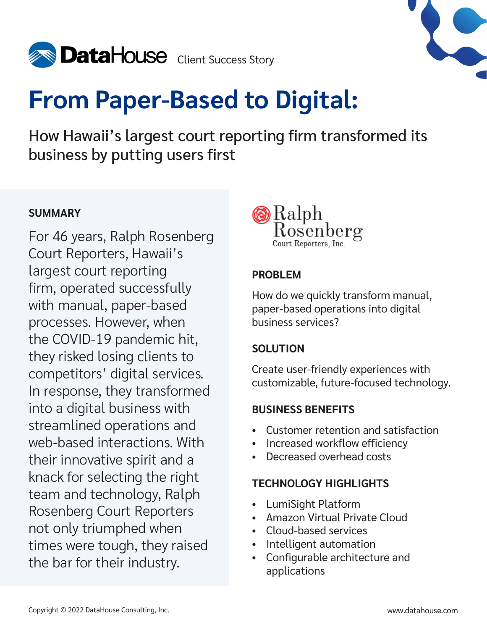



# **From Paper-Based to Digital:**

How Hawaii's largest court reporting firm transformed its business by putting users first

### **SUMMARY**

For 46 years, Ralph Rosenberg Court Reporters, Hawaii's largest court reporting firm, operated successfully with manual, paper-based processes. However, when the COVID-19 pandemic hit, they risked losing clients to competitors' digital services. In response, they transformed into a digital business with streamlined operations and web-based interactions. With their innovative spirit and a knack for selecting the right team and technology, Ralph Rosenberg Court Reporters not only triumphed when times were tough, they raised the bar for their industry.



#### **PROBLEM**

How do we quickly transform manual, paper-based operations into digital business services?

### **SOLUTION**

Create user-friendly experiences with customizable, future-focused technology.

### **BUSINESS BENEFITS**

- Customer retention and satisfaction
- Increased workflow efficiency
- Decreased overhead costs

### **TECHNOLOGY HIGHLIGHTS**

- LumiSight Platform
- Amazon Virtual Private Cloud
- Cloud-based services
- Intelligent automation
- Configurable architecture and applications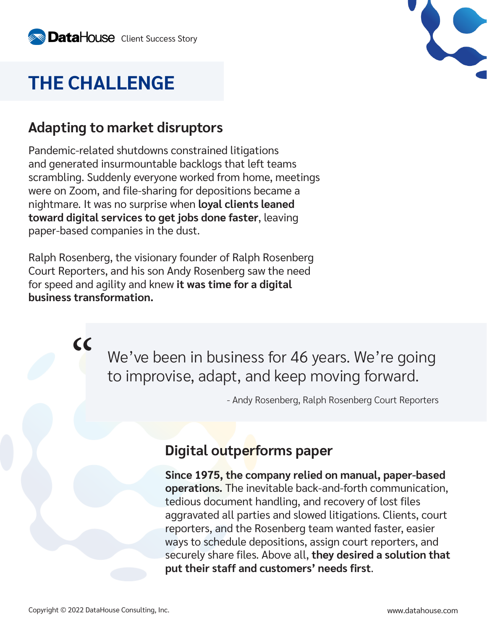## **THE CHALLENGE**

### **Adapting to market disruptors**

Pandemic-related shutdowns constrained litigations and generated insurmountable backlogs that left teams scrambling. Suddenly everyone worked from home, meetings were on Zoom, and file-sharing for depositions became a nightmare. It was no surprise when **loyal clients leaned toward digital services to get jobs done faster**, leaving paper-based companies in the dust.

Ralph Rosenberg, the visionary founder of Ralph Rosenberg Court Reporters, and his son Andy Rosenberg saw the need for speed and agility and knew **it was time for a digital business transformation.**

> We've been in business for 46 years. We're going to improvise, adapt, and keep moving forward.

> > - Andy Rosenberg, Ralph Rosenberg Court Reporters

### **Digital outperforms paper**

**Since 1975, the company relied on manual, paper-based operations.** The inevitable back-and-forth communication, tedious document handling, and recovery of lost files aggravated all parties and slowed litigations. Clients, court reporters, and the Rosenberg team wanted faster, easier ways to schedule depositions, assign court reporters, and securely share files. Above all, **they desired a solution that put their staff and customers' needs first**.

 $cc$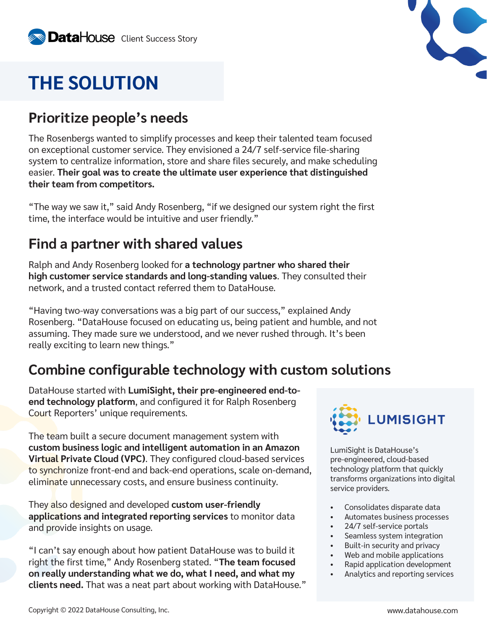### **THE SOLUTION**

### **Prioritize people's needs**

The Rosenbergs wanted to simplify processes and keep their talented team focused on exceptional customer service. They envisioned a 24/7 self-service file-sharing system to centralize information, store and share files securely, and make scheduling easier. **Their goal was to create the ultimate user experience that distinguished their team from competitors.**

"The way we saw it," said Andy Rosenberg, "if we designed our system right the first time, the interface would be intuitive and user friendly."

### **Find a partner with shared values**

Ralph and Andy Rosenberg looked for **a technology partner who shared their high customer service standards and long-standing values**. They consulted their network, and a trusted contact referred them to DataHouse.

"Having two-way conversations was a big part of our success," explained Andy Rosenberg. "DataHouse focused on educating us, being patient and humble, and not assuming. They made sure we understood, and we never rushed through. It's been really exciting to learn new things."

### **Combine configurable technology with custom solutions**

DataHouse started with **LumiSight, their pre-engineered end-toend technology platform**, and configured it for Ralph Rosenberg Court Reporters' unique requirements.

The team built a secure document management system with **custom business logic and intelligent automation in an Amazon Virtual Private Cloud (VPC)**. They configured cloud-based services to synchronize front-end and back-end operations, scale on-demand, eliminate unnecessary costs, and ensure business continuity.

They also designed and developed **custom user-friendly applications and integrated reporting services** to monitor data and provide insights on usage.

"I can't say enough about how patient DataHouse was to build it right the first time," Andy Rosenberg stated. "**The team focused on really understanding what we do, what I need, and what my clients need.** That was a neat part about working with DataHouse."



LumiSight is DataHouse's pre-engineered, cloud-based technology platform that quickly transforms organizations into digital service providers.

- Consolidates disparate data
- Automates business processes
- 24/7 self-service portals
- Seamless system integration
- Built-in security and privacy
- Web and mobile applications
- Rapid application development
- Analytics and reporting services